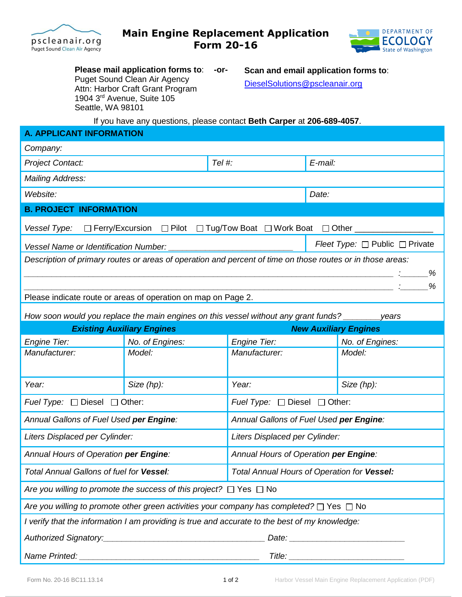



**Please mail application forms to**: **-or-**Puget Sound Clean Air Agency Attn: Harbor Craft Grant Program 1904 3rd Avenue, Suite 105 Seattle, WA 98101

**Scan and email application forms to**: [DieselSolutions@pscleanair.org](mailto:DieselSolutions@pscleanair.org)

If you have any questions, please contact **Beth Carper** at **206-689-4057**.

| <b>A. APPLICANT INFORMATION</b>                                                                                                                                                                                                                                                                                                                                                                                                                                                                             |                 |                              |                                               |            |  |
|-------------------------------------------------------------------------------------------------------------------------------------------------------------------------------------------------------------------------------------------------------------------------------------------------------------------------------------------------------------------------------------------------------------------------------------------------------------------------------------------------------------|-----------------|------------------------------|-----------------------------------------------|------------|--|
| Company:                                                                                                                                                                                                                                                                                                                                                                                                                                                                                                    |                 |                              |                                               |            |  |
| <b>Project Contact:</b>                                                                                                                                                                                                                                                                                                                                                                                                                                                                                     |                 | Tel #:                       | E-mail:                                       |            |  |
| <b>Mailing Address:</b>                                                                                                                                                                                                                                                                                                                                                                                                                                                                                     |                 |                              |                                               |            |  |
| Website:                                                                                                                                                                                                                                                                                                                                                                                                                                                                                                    |                 |                              | Date:                                         |            |  |
| <b>B. PROJECT INFORMATION</b>                                                                                                                                                                                                                                                                                                                                                                                                                                                                               |                 |                              |                                               |            |  |
| □ Ferry/Excursion □ Pilot □ Tug/Tow Boat □ Work Boat □ Other<br>Vessel Type:                                                                                                                                                                                                                                                                                                                                                                                                                                |                 |                              |                                               |            |  |
| Vessel Name or Identification Number:                                                                                                                                                                                                                                                                                                                                                                                                                                                                       |                 |                              | Fleet Type: □ Public □ Private                |            |  |
| Description of primary routes or areas of operation and percent of time on those routes or in those areas:                                                                                                                                                                                                                                                                                                                                                                                                  |                 |                              |                                               |            |  |
|                                                                                                                                                                                                                                                                                                                                                                                                                                                                                                             |                 |                              |                                               |            |  |
|                                                                                                                                                                                                                                                                                                                                                                                                                                                                                                             |                 |                              |                                               |            |  |
| Please indicate route or areas of operation on map on Page 2.                                                                                                                                                                                                                                                                                                                                                                                                                                               |                 |                              |                                               |            |  |
| How soon would you replace the main engines on this vessel without any grant funds?<br>years                                                                                                                                                                                                                                                                                                                                                                                                                |                 |                              |                                               |            |  |
| <b>Existing Auxiliary Engines</b>                                                                                                                                                                                                                                                                                                                                                                                                                                                                           |                 | <b>New Auxiliary Engines</b> |                                               |            |  |
| <b>Engine Tier:</b>                                                                                                                                                                                                                                                                                                                                                                                                                                                                                         | No. of Engines: | <b>Engine Tier:</b>          | No. of Engines:                               |            |  |
| Manufacturer:                                                                                                                                                                                                                                                                                                                                                                                                                                                                                               | Model:          | Manufacturer:                |                                               | Model:     |  |
|                                                                                                                                                                                                                                                                                                                                                                                                                                                                                                             |                 |                              |                                               |            |  |
| Year:                                                                                                                                                                                                                                                                                                                                                                                                                                                                                                       | Size (hp):      | Year:                        |                                               | Size (hp): |  |
| <i>Fuel Type:</i> $\Box$ Diesel $\Box$ Other:                                                                                                                                                                                                                                                                                                                                                                                                                                                               |                 |                              | <i>Fuel Type:</i> $\Box$ Diesel $\Box$ Other: |            |  |
| Annual Gallons of Fuel Used per Engine:                                                                                                                                                                                                                                                                                                                                                                                                                                                                     |                 |                              | Annual Gallons of Fuel Used per Engine:       |            |  |
| Liters Displaced per Cylinder:                                                                                                                                                                                                                                                                                                                                                                                                                                                                              |                 |                              | Liters Displaced per Cylinder:                |            |  |
| Annual Hours of Operation per Engine:                                                                                                                                                                                                                                                                                                                                                                                                                                                                       |                 |                              | Annual Hours of Operation per Engine:         |            |  |
| Total Annual Gallons of fuel for Vessel:                                                                                                                                                                                                                                                                                                                                                                                                                                                                    |                 |                              | Total Annual Hours of Operation for Vessel:   |            |  |
| Are you willing to promote the success of this project? $\Box$ Yes $\Box$ No                                                                                                                                                                                                                                                                                                                                                                                                                                |                 |                              |                                               |            |  |
| Are you willing to promote other green activities your company has completed? $\Box$ Yes $\Box$ No                                                                                                                                                                                                                                                                                                                                                                                                          |                 |                              |                                               |            |  |
| I verify that the information I am providing is true and accurate to the best of my knowledge:                                                                                                                                                                                                                                                                                                                                                                                                              |                 |                              |                                               |            |  |
|                                                                                                                                                                                                                                                                                                                                                                                                                                                                                                             |                 |                              |                                               |            |  |
| Name Printed:<br>$\blacksquare$ $\blacksquare$ $\blacksquare$ $\blacksquare$ $\blacksquare$ $\blacksquare$ $\blacksquare$ $\blacksquare$ $\blacksquare$ $\blacksquare$ $\blacksquare$ $\blacksquare$ $\blacksquare$ $\blacksquare$ $\blacksquare$ $\blacksquare$ $\blacksquare$ $\blacksquare$ $\blacksquare$ $\blacksquare$ $\blacksquare$ $\blacksquare$ $\blacksquare$ $\blacksquare$ $\blacksquare$ $\blacksquare$ $\blacksquare$ $\blacksquare$ $\blacksquare$ $\blacksquare$ $\blacksquare$ $\blacks$ |                 |                              |                                               |            |  |